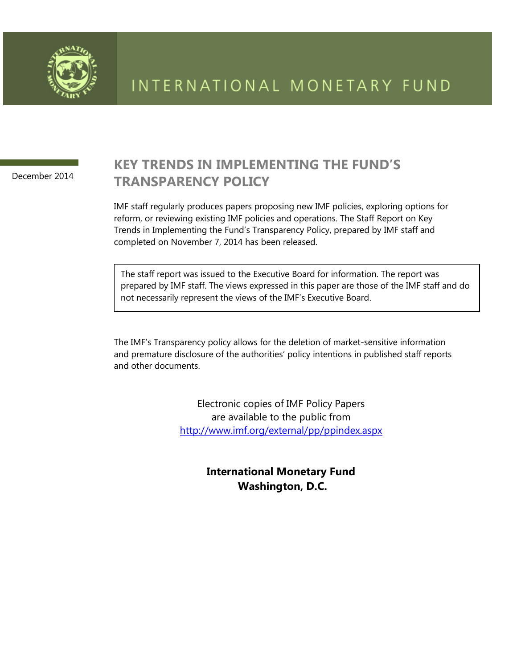

December 2014

# **KEY TRENDS IN IMPLEMENTING THE FUND'S TRANSPARENCY POLICY**

IMF staff regularly produces papers proposing new IMF policies, exploring options for reform, or reviewing existing IMF policies and operations. The Staff Report on Key Trends in Implementing the Fund's Transparency Policy, prepared by IMF staff and completed on November 7, 2014 has been released.

The staff report was issued to the Executive Board for information. The report was prepared by IMF staff. The views expressed in this paper are those of the IMF staff and do not necessarily represent the views of the IMF's Executive Board.

The IMF's Transparency policy allows for the deletion of market-sensitive information and premature disclosure of the authorities' policy intentions in published staff reports and other documents.

> Electronic copies of IMF Policy Papers are available to the public from <http://www.imf.org/external/pp/ppindex.aspx>

> > **International Monetary Fund Washington, D.C.**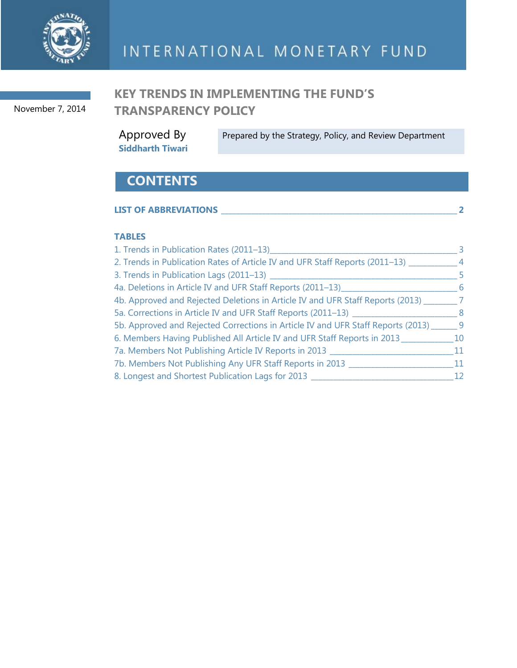

November 7, 2014

# **KEY TRENDS IN IMPLEMENTING THE FUND'S TRANSPARENCY POLICY**

Approved By **Siddharth Tiwari** Prepared by the Strategy, Policy, and Review Department

# **CONTENTS**

| <b>LIST OF ABBREVIATIONS</b> |  |
|------------------------------|--|
|                              |  |

### **TABLES**

| 1. Trends in Publication Rates (2011-13)                                         | -3             |
|----------------------------------------------------------------------------------|----------------|
| 2. Trends in Publication Rates of Article IV and UFR Staff Reports (2011–13)     | $\overline{4}$ |
| 3. Trends in Publication Lags (2011-13) _                                        | -5             |
| 4a. Deletions in Article IV and UFR Staff Reports (2011–13)__                    | -6             |
| 4b. Approved and Rejected Deletions in Article IV and UFR Staff Reports (2013)   | - 7            |
| 5a. Corrections in Article IV and UFR Staff Reports (2011–13)                    | - 8            |
| 5b. Approved and Rejected Corrections in Article IV and UFR Staff Reports (2013) | - 9            |
| 6. Members Having Published All Article IV and UFR Staff Reports in 2013         | 10             |
| 7a. Members Not Publishing Article IV Reports in 2013                            | 11             |
| 7b. Members Not Publishing Any UFR Staff Reports in 2013                         | 11             |
| 8. Longest and Shortest Publication Lags for 2013                                | 12             |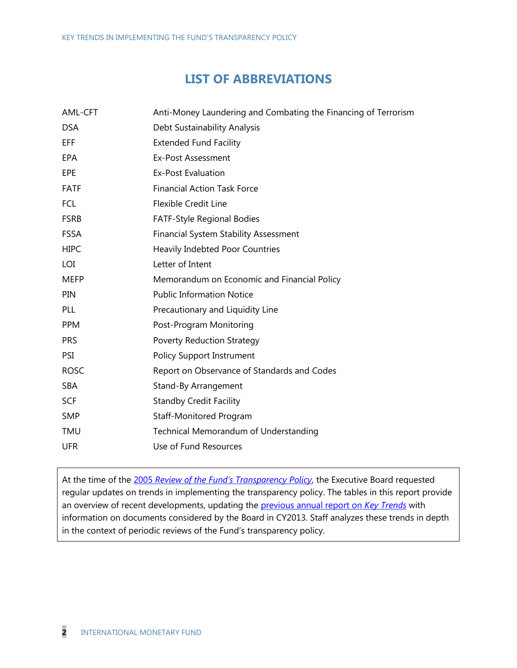## **LIST OF ABBREVIATIONS**

| AML-CFT     | Anti-Money Laundering and Combating the Financing of Terrorism |
|-------------|----------------------------------------------------------------|
| <b>DSA</b>  | Debt Sustainability Analysis                                   |
| EFF         | <b>Extended Fund Facility</b>                                  |
| EPA         | Ex-Post Assessment                                             |
| EPE         | <b>Ex-Post Evaluation</b>                                      |
| <b>FATF</b> | <b>Financial Action Task Force</b>                             |
| <b>FCL</b>  | <b>Flexible Credit Line</b>                                    |
| <b>FSRB</b> | FATF-Style Regional Bodies                                     |
| <b>FSSA</b> | <b>Financial System Stability Assessment</b>                   |
| <b>HIPC</b> | Heavily Indebted Poor Countries                                |
| LOI         | Letter of Intent                                               |
| <b>MEFP</b> | Memorandum on Economic and Financial Policy                    |
| PIN         | <b>Public Information Notice</b>                               |
| PLL         | Precautionary and Liquidity Line                               |
| <b>PPM</b>  | Post-Program Monitoring                                        |
| <b>PRS</b>  | <b>Poverty Reduction Strategy</b>                              |
| PSI         | <b>Policy Support Instrument</b>                               |
| <b>ROSC</b> | Report on Observance of Standards and Codes                    |
| <b>SBA</b>  | Stand-By Arrangement                                           |
| <b>SCF</b>  | <b>Standby Credit Facility</b>                                 |
| <b>SMP</b>  | Staff-Monitored Program                                        |
| TMU         | Technical Memorandum of Understanding                          |
| <b>UFR</b>  | Use of Fund Resources                                          |
|             |                                                                |

At the time of the 2005 *[Review of the Fund's Transparency Policy](http://www.imf.org/external/np/pp/eng/2005/052405.htm)*, the Executive Board requested regular updates on trends in implementing the transparency policy. The tables in this report provide an overview of recent developments, updating the [previous annual report on](http://www.imf.org/external/np/pp/eng/2013/100313.pdf) *Key Trends* with information on documents considered by the Board in CY2013. Staff analyzes these trends in depth in the context of periodic reviews of the Fund's transparency policy.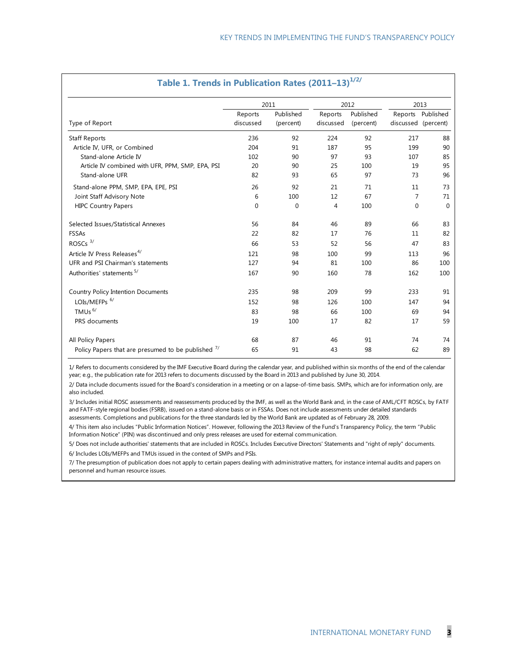|                                                  |                      | 2011                   |                      | 2012                   | 2013                |                   |  |
|--------------------------------------------------|----------------------|------------------------|----------------------|------------------------|---------------------|-------------------|--|
| Type of Report                                   | Reports<br>discussed | Published<br>(percent) | Reports<br>discussed | Published<br>(percent) | discussed (percent) | Reports Published |  |
| <b>Staff Reports</b>                             | 236                  | 92                     | 224                  | 92                     | 217                 | 88                |  |
| Article IV, UFR, or Combined                     | 204                  | 91                     | 187                  | 95                     | 199                 | 90                |  |
| Stand-alone Article IV                           | 102                  | 90                     | 97                   | 93                     | 107                 | 85                |  |
| Article IV combined with UFR, PPM, SMP, EPA, PSI | 20                   | 90                     | 25                   | 100                    | 19                  | 95                |  |
| Stand-alone UFR                                  | 82                   | 93                     | 65                   | 97                     | 73                  | 96                |  |
| Stand-alone PPM, SMP, EPA, EPE, PSI              | 26                   | 92                     | 21                   | 71                     | 11                  | 73                |  |
| Joint Staff Advisory Note                        | 6                    | 100                    | 12                   | 67                     | 7                   | 71                |  |
| <b>HIPC Country Papers</b>                       | 0                    | 0                      | 4                    | 100                    | $\mathbf 0$         | 0                 |  |
| Selected Issues/Statistical Annexes              | 56                   | 84                     | 46                   | 89                     | 66                  | 83                |  |
| <b>FSSAs</b>                                     | 22                   | 82                     | 17                   | 76                     | 11                  | 82                |  |
| ROSCs <sup>3/</sup>                              | 66                   | 53                     | 52                   | 56                     | 47                  | 83                |  |
| Article IV Press Releases <sup>4/</sup>          | 121                  | 98                     | 100                  | 99                     | 113                 | 96                |  |
| UFR and PSI Chairman's statements                | 127                  | 94                     | 81                   | 100                    | 86                  | 100               |  |
| Authorities' statements 5/                       | 167                  | 90                     | 160                  | 78                     | 162                 | 100               |  |
| Country Policy Intention Documents               | 235                  | 98                     | 209                  | 99                     | 233                 | 91                |  |
| LOIs/MEFPs <sup>6/</sup>                         | 152                  | 98                     | 126                  | 100                    | 147                 | 94                |  |
| TMUs <sup>6/</sup>                               | 83                   | 98                     | 66                   | 100                    | 69                  | 94                |  |
| PRS documents                                    | 19                   | 100                    | 17                   | 82                     | 17                  | 59                |  |
| All Policy Papers                                | 68                   | 87                     | 46                   | 91                     | 74                  | 74                |  |
|                                                  |                      |                        |                      |                        |                     |                   |  |

#### **Table 1. Trends in Publication Rates (2011–13)**  $12/2/$

1/ Refers to documents considered by the IMF Executive Board during the calendar year, and published within six months of the end of the calendar year; e.g., the publication rate for 2013 refers to documents discussed by the Board in 2013 and published by June 30, 2014.

2/ Data include documents issued for the Board's consideration in a meeting or on a lapse-of-time basis. SMPs, which are for information only, are also included.

3/ Includes initial ROSC assessments and reassessments produced by the IMF, as well as the World Bank and, in the case of AML/CFT ROSCs, by FATF and FATF-style regional bodies (FSRB), issued on a stand-alone basis or in FSSAs. Does not include assessments under detailed standards assessments. Completions and publications for the three standards led by the World Bank are updated as of February 28, 2009.

4/ This item also includes "Public Information Notices". However, following the 2013 Review of the Fund's Transparency Policy, the term "Public Information Notice" (PIN) was discontinued and only press releases are used for external communication.

6/ Includes LOIs/MEFPs and TMUs issued in the context of SMPs and PSIs. 5/ Does not include authorities' statements that are included in ROSCs. Includes Executive Directors' Statements and "right of reply" documents.

7/ The presumption of publication does not apply to certain papers dealing with administrative matters, for instance internal audits and papers on personnel and human resource issues.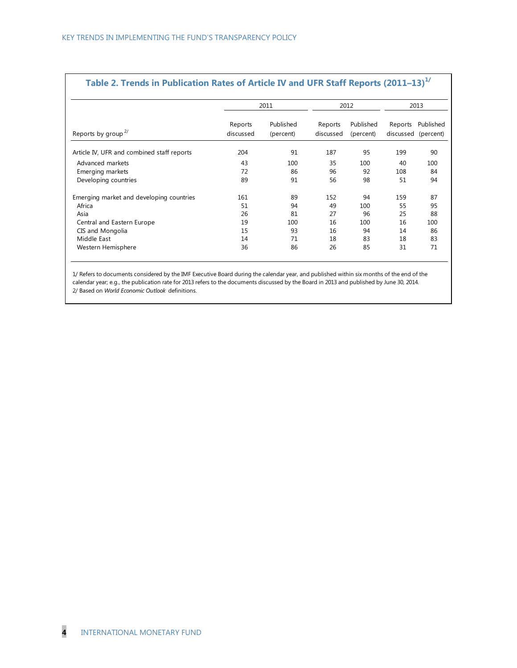|                                            |                      | 2011                   |                      | 2012                   | 2013                           |           |  |
|--------------------------------------------|----------------------|------------------------|----------------------|------------------------|--------------------------------|-----------|--|
| Reports by group <sup>2/</sup>             | Reports<br>discussed | Published<br>(percent) | Reports<br>discussed | Published<br>(percent) | Reports<br>discussed (percent) | Published |  |
| Article IV, UFR and combined staff reports | 204                  | 91                     | 187                  | 95                     | 199                            | 90        |  |
| Advanced markets                           | 43                   | 100                    | 35                   | 100                    | 40                             | 100       |  |
| Emerging markets                           | 72                   | 86                     | 96                   | 92                     | 108                            | 84        |  |
| Developing countries                       | 89                   | 91                     | 56                   | 98                     | 51                             | 94        |  |
| Emerging market and developing countries   | 161                  | 89                     | 152                  | 94                     | 159                            | 87        |  |
| Africa                                     | 51                   | 94                     | 49                   | 100                    | 55                             | 95        |  |
| Asia                                       | 26                   | 81                     | 27                   | 96                     | 25                             | 88        |  |
| Central and Eastern Europe                 | 19                   | 100                    | 16                   | 100                    | 16                             | 100       |  |
| CIS and Mongolia                           | 15                   | 93                     | 16                   | 94                     | 14                             | 86        |  |
| Middle East                                | 14                   | 71                     | 18                   | 83                     | 18                             | 83        |  |
| Western Hemisphere                         | 36                   | 86                     | 26                   | 85                     | 31                             | 71        |  |

#### **Table 2. Trends in Publication Rates of Article IV and UFR Staff Reports (2011–13) 1/**

1/ Refers to documents considered by the IMF Executive Board during the calendar year, and published within six months of the end of the calendar year; e.g., the publication rate for 2013 refers to the documents discussed by the Board in 2013 and published by June 30, 2014. 2/ Based on *World Economic Outlook* definitions.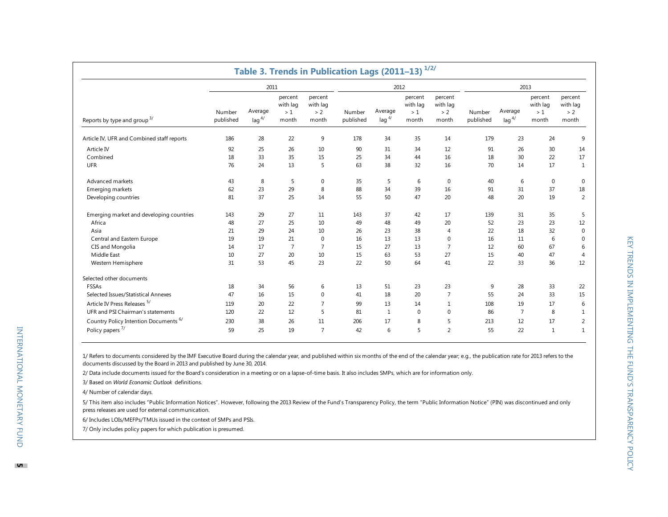|                                                  |                     |                        |                                    |                                     | Table 3. Trends in Publication Lags (2011-13) <sup>1/2/</sup> |                                 |                                    |                                     |                     |                        |                                    |                                     |  |
|--------------------------------------------------|---------------------|------------------------|------------------------------------|-------------------------------------|---------------------------------------------------------------|---------------------------------|------------------------------------|-------------------------------------|---------------------|------------------------|------------------------------------|-------------------------------------|--|
|                                                  |                     | 2011                   |                                    |                                     |                                                               | 2012                            |                                    |                                     |                     | 2013                   |                                    |                                     |  |
| Reports by type and group <sup>3/</sup>          | Number<br>published | Average<br>$\log^{4/}$ | percent<br>with lag<br>>1<br>month | percent<br>with lag<br>> 2<br>month | Number<br>published                                           | Average<br>$\log$ <sup>4/</sup> | percent<br>with lag<br>>1<br>month | percent<br>with lag<br>> 2<br>month | Number<br>published | Average<br>$\log^{4/}$ | percent<br>with lag<br>>1<br>month | percent<br>with lag<br>> 2<br>month |  |
| Article IV, UFR and Combined staff reports       | 186                 | 28                     | 22                                 | 9                                   | 178                                                           | 34                              | 35                                 | 14                                  | 179                 | 23                     | 24                                 | 9                                   |  |
| Article IV                                       | 92                  | 25                     | 26                                 | 10                                  | 90                                                            | 31                              | 34                                 | 12                                  | 91                  | 26                     | 30                                 | 14                                  |  |
| Combined                                         | 18                  | 33                     | 35                                 | 15                                  | 25                                                            | 34                              | 44                                 | 16                                  | 18                  | 30                     | 22                                 | 17                                  |  |
| <b>UFR</b>                                       | 76                  | 24                     | 13                                 | 5                                   | 63                                                            | 38                              | 32                                 | 16                                  | 70                  | 14                     | 17                                 | $\mathbf{1}$                        |  |
| Advanced markets                                 | 43                  | 8                      | 5                                  | 0                                   | 35                                                            | 5                               | 6                                  | 0                                   | 40                  | 6                      | $\mathbf 0$                        | $\mathbf 0$                         |  |
| Emerging markets                                 | 62                  | 23                     | 29                                 | 8                                   | 88                                                            | 34                              | 39                                 | 16                                  | 91                  | 31                     | 37                                 | 18                                  |  |
| Developing countries                             | 81                  | 37                     | 25                                 | 14                                  | 55                                                            | 50                              | 47                                 | 20                                  | 48                  | 20                     | 19                                 | 2                                   |  |
| Emerging market and developing countries         | 143                 | 29                     | 27                                 | 11                                  | 143                                                           | 37                              | 42                                 | 17                                  | 139                 | 31                     | 35                                 | 5                                   |  |
| Africa                                           | 48                  | 27                     | 25                                 | 10                                  | 49                                                            | 48                              | 49                                 | 20                                  | 52                  | 23                     | 23                                 | 12                                  |  |
| Asia                                             | 21                  | 29                     | 24                                 | 10                                  | 26                                                            | 23                              | 38                                 | $\overline{4}$                      | 22                  | 18                     | 32                                 | $\mathbf 0$                         |  |
| Central and Eastern Europe                       | 19                  | 19                     | 21                                 | $\mathbf 0$                         | 16                                                            | 13                              | 13                                 | $\mathbf 0$                         | 16                  | 11                     | 6                                  | 0                                   |  |
| CIS and Mongolia                                 | 14                  | 17                     | $\overline{7}$                     | $\overline{7}$                      | 15                                                            | 27                              | 13                                 | $\overline{7}$                      | 12                  | 60                     | 67                                 | 6                                   |  |
| Middle East                                      | 10                  | 27                     | 20                                 | 10                                  | 15                                                            | 63                              | 53                                 | 27                                  | 15                  | 40                     | 47                                 | $\overline{4}$                      |  |
| Western Hemisphere                               | 31                  | 53                     | 45                                 | 23                                  | 22                                                            | 50                              | 64                                 | 41                                  | 22                  | 33                     | 36                                 | 12                                  |  |
| Selected other documents                         |                     |                        |                                    |                                     |                                                               |                                 |                                    |                                     |                     |                        |                                    |                                     |  |
| FSSAs                                            | 18                  | 34                     | 56                                 | 6                                   | 13                                                            | 51                              | 23                                 | 23                                  | 9                   | 28                     | 33                                 | 22                                  |  |
| Selected Issues/Statistical Annexes              | 47                  | 16                     | 15                                 | $\mathbf 0$                         | 41                                                            | 18                              | 20                                 | $\overline{7}$                      | 55                  | 24                     | 33                                 | 15                                  |  |
| Article IV Press Releases 5/                     | 119                 | 20                     | 22                                 | $\overline{7}$                      | 99                                                            | 13                              | 14                                 | $\mathbf{1}$                        | 108                 | 19                     | 17                                 | 6                                   |  |
| UFR and PSI Chairman's statements                | 120                 | 22                     | 12                                 | 5                                   | 81                                                            | $\mathbf{1}$                    | $\mathbf 0$                        | $\mathbf 0$                         | 86                  | $\overline{7}$         | 8                                  | $\mathbf 1$                         |  |
| Country Policy Intention Documents <sup>6/</sup> | 230                 | 38                     | 26                                 | 11                                  | 206                                                           | 17                              | 8                                  | 5                                   | 213                 | 12                     | 17                                 | $\overline{2}$                      |  |
| Policy papers <sup>7/</sup>                      | 59                  | 25                     | 19                                 | $\overline{7}$                      | 42                                                            | 6                               | 5                                  | $\overline{2}$                      | 55                  | 22                     | 1                                  | $\mathbf{1}$                        |  |

1/ Refers to documents considered by the IMF Executive Board during the calendar year, and published within six months of the end of the calendar year; e.g., the publication rate for 2013 refers to the documents discussed by the Board in 2013 and published by June 30, 2014.

2/ Data include documents issued for the Board's consideration in a meeting or on a lapse-of-time basis. It also includes SMPs, which are for information only.

3/ Based on *World Economic Outlook* definitions.

4/ Number of calendar days.

5/ This item also includes "Public Information Notices". However, following the 2013 Review of the Fund's Transparency Policy, the term "Public Information Notice" (PIN) was discontinued and only press releases are used for external communication.

6/ Includes LOIs/MEFPs/TMUs issued in the context of SMPs and PSIs.

7/ Only includes policy papers for which publication is presumed.

INTERNATIONAL MONETARY FUND

INTERNATIONAL MONETARY FUND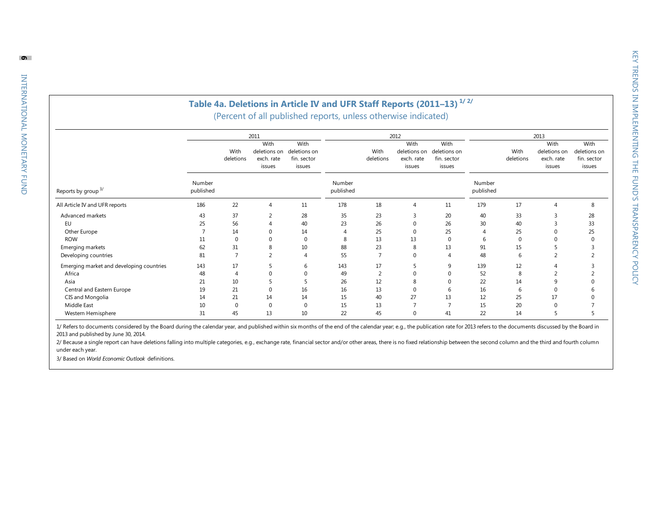### **Table 4 a. Deletions in Article IV and UFR Staff Reports (2011 –13 ) 1/ 2/**

(Percent of all published reports, unless otherwise indicated)

|                                          |                     |                   |                                      | Table 4a. Deletions in Article IV and UFR Staff Reports (2011-13) <sup>1/2/</sup><br>(Percent of all published reports, unless otherwise indicated) |                     |                   |                                                      |                                               |                     |                   |                                                      |                                               |
|------------------------------------------|---------------------|-------------------|--------------------------------------|-----------------------------------------------------------------------------------------------------------------------------------------------------|---------------------|-------------------|------------------------------------------------------|-----------------------------------------------|---------------------|-------------------|------------------------------------------------------|-----------------------------------------------|
|                                          |                     | With<br>deletions | 2011<br>With<br>exch. rate<br>issues | With<br>deletions on deletions on<br>fin. sector<br>issues                                                                                          |                     | With<br>deletions | 2012<br>With<br>deletions on<br>exch. rate<br>issues | With<br>deletions on<br>fin. sector<br>issues |                     | With<br>deletions | 2013<br>With<br>deletions on<br>exch. rate<br>issues | With<br>deletions on<br>fin. sector<br>issues |
| Reports by group <sup>3/</sup>           | Number<br>published |                   |                                      |                                                                                                                                                     | Number<br>published |                   |                                                      |                                               | Number<br>published |                   |                                                      |                                               |
| All Article IV and UFR reports           | 186                 | 22                | $\overline{4}$                       | 11                                                                                                                                                  | 178                 | 18                | $\overline{4}$                                       | 11                                            | 179                 | 17                | $\Delta$                                             | 8                                             |
| Advanced markets                         | 43                  | 37                | 2                                    | 28                                                                                                                                                  | 35                  | 23                | 3                                                    | 20                                            | 40                  | 33                |                                                      | 28                                            |
| EU                                       | 25                  | 56                | $\Delta$                             | 40                                                                                                                                                  | 23                  | 26                | $\mathbf 0$                                          | 26                                            | 30                  | 40                | 3                                                    | 33                                            |
| Other Europe                             |                     | 14                | O                                    | 14                                                                                                                                                  |                     | 25                | $\Omega$                                             | 25                                            |                     | 25                |                                                      | 25                                            |
| <b>ROW</b>                               | 11                  | $\Omega$          | $\Omega$                             | 0                                                                                                                                                   | 8                   | 13                | 13                                                   | $\Omega$                                      | 6                   | $\Omega$          |                                                      | $\Omega$                                      |
| Emerging markets                         | 62                  | 31                | 8                                    | 10                                                                                                                                                  | 88                  | 23                | 8                                                    | 13                                            | 91                  | 15                |                                                      |                                               |
| Developing countries                     | 81                  | $\overline{7}$    | 2                                    | $\Delta$                                                                                                                                            | 55                  | $\overline{7}$    | $\Omega$                                             | $\Delta$                                      | 48                  | 6                 |                                                      |                                               |
| Emerging market and developing countries | 143                 | 17                | 5                                    | 6                                                                                                                                                   | 143                 | 17                | 5                                                    | 9                                             | 139                 | 12                |                                                      |                                               |
| Africa                                   | 48                  | Δ                 | O                                    | $\Omega$                                                                                                                                            | 49                  | $\overline{2}$    | ∩                                                    | $\Omega$                                      | 52                  | 8                 |                                                      |                                               |
| Asia                                     | 21                  | 10                |                                      | 5                                                                                                                                                   | 26                  | 12                |                                                      | $\Omega$                                      | 22                  | 14                |                                                      |                                               |
| Central and Eastern Europe               | 19                  | 21                | $\Omega$                             | 16                                                                                                                                                  | 16                  | 13                | $\Omega$                                             | 6                                             | 16                  | 6                 | $\Omega$                                             |                                               |
| CIS and Mongolia                         | 14                  | 21                | 14                                   | 14                                                                                                                                                  | 15                  | 40                | 27                                                   | 13                                            | 12                  | 25                | 17                                                   |                                               |
| Middle East                              | 10                  | $\Omega$          | $\Omega$                             | $\Omega$                                                                                                                                            | 15                  | 13                | 7                                                    | $\overline{7}$                                | 15                  | 20                | $\Omega$                                             |                                               |
| Western Hemisphere                       | 31                  | 45                | 13                                   | 10                                                                                                                                                  | 22                  | 45                |                                                      | 41                                            | 22                  | 14                |                                                      |                                               |

1/ Refers to documents considered by the Board during the calendar year, and published within six months of the end of the calendar year; e.g., the publication rate for 2013 refers to the documents discussed by the Board i 2013 and published by June 30, 2014.

2/ Because a single report can have deletions falling into multiple categories, e.g., exchange rate, financial sector and/or other areas, there is no fixed relationship between the second column and the third and fourth co under each year.

3/ Based on *World Economic Outlook* definitions.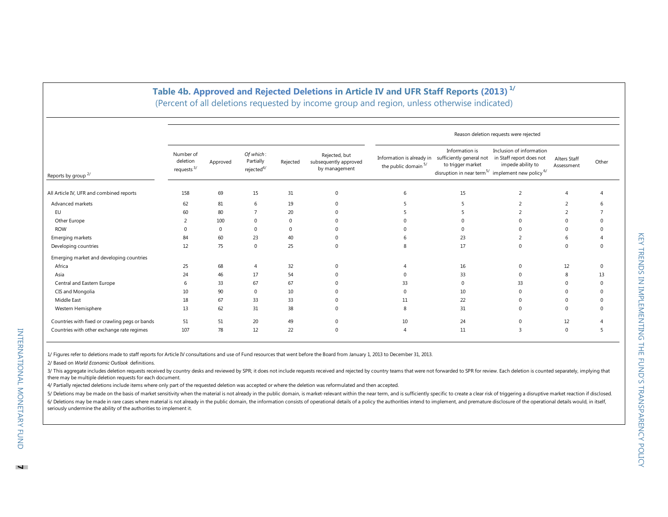## **Table 4 b . Approved and Rejected Deletions in Article IV and UFR Staff Reports (2013 ) 1/**

|                                                |                                        |             |                                         |          |                                                         | (Percent of all deletions requested by income group and region, unless otherwise indicated) |                                     |                                                                                                                                                       |                            |          |  |  |  |
|------------------------------------------------|----------------------------------------|-------------|-----------------------------------------|----------|---------------------------------------------------------|---------------------------------------------------------------------------------------------|-------------------------------------|-------------------------------------------------------------------------------------------------------------------------------------------------------|----------------------------|----------|--|--|--|
|                                                | Reason deletion requests were rejected |             |                                         |          |                                                         |                                                                                             |                                     |                                                                                                                                                       |                            |          |  |  |  |
| Reports by group <sup>2/</sup>                 | Number of<br>deletion<br>requests $3/$ | Approved    | Of which:<br>Partially<br>rejected $4/$ | Rejected | Rejected, but<br>subsequently approved<br>by management | Information is already in sufficiently general not<br>the public domain 5/                  | Information is<br>to trigger market | Inclusion of information<br>in Staff report does not<br>impede ability to<br>disruption in near term <sup>5/</sup> implement new policy <sup>6/</sup> | Alters Staff<br>Assessment | Other    |  |  |  |
| All Article IV, UFR and combined reports       | 158                                    | 69          | 15                                      | 31       | $\Omega$                                                | 6                                                                                           | 15                                  | 2                                                                                                                                                     |                            |          |  |  |  |
| Advanced markets                               | 62                                     | 81          | 6                                       | 19       | O                                                       |                                                                                             |                                     | 2                                                                                                                                                     | $\overline{\mathbf{c}}$    |          |  |  |  |
| EU                                             | 60                                     | 80          |                                         | 20       |                                                         |                                                                                             |                                     |                                                                                                                                                       | C                          |          |  |  |  |
| Other Europe                                   |                                        | 100         | $\Omega$                                |          |                                                         |                                                                                             |                                     |                                                                                                                                                       |                            |          |  |  |  |
| <b>ROW</b>                                     | <sup>0</sup>                           | $\mathbf 0$ | $\Omega$                                | O.       |                                                         |                                                                                             |                                     |                                                                                                                                                       |                            |          |  |  |  |
| Emerging markets                               | 84                                     | 60          | 23                                      | 40       |                                                         |                                                                                             | 23                                  |                                                                                                                                                       |                            |          |  |  |  |
| Developing countries                           | 12                                     | 75          | $\mathbf{0}$                            | 25       | U                                                       |                                                                                             | 17                                  | $\Omega$                                                                                                                                              | $\Omega$                   |          |  |  |  |
| Emerging market and developing countries       |                                        |             |                                         |          |                                                         |                                                                                             |                                     |                                                                                                                                                       |                            |          |  |  |  |
| Africa                                         | 25                                     | 68          | $\overline{A}$                          | 32       |                                                         |                                                                                             | 16                                  | $\Omega$                                                                                                                                              | 12                         | 0        |  |  |  |
| Asia                                           | 24                                     | 46          | 17                                      | 54       |                                                         |                                                                                             | 33                                  | $\Omega$                                                                                                                                              | 8                          | 13       |  |  |  |
| Central and Eastern Europe                     | 6                                      | 33          | 67                                      | 67       |                                                         | 33                                                                                          | $\Omega$                            | 33                                                                                                                                                    |                            |          |  |  |  |
| CIS and Mongolia                               | 10                                     | 90          | $\Omega$                                | 10       |                                                         |                                                                                             | 10                                  |                                                                                                                                                       |                            |          |  |  |  |
| Middle East                                    | 18                                     | 67          | 33                                      | 33       |                                                         | 11                                                                                          | 22                                  | $\Omega$                                                                                                                                              |                            |          |  |  |  |
| Western Hemisphere                             | 13                                     | 62          | 31                                      | 38       |                                                         | 8                                                                                           | 31                                  | $\Omega$                                                                                                                                              | $\Omega$                   | $\Omega$ |  |  |  |
| Countries with fixed or crawling pegs or bands | 51                                     | 51          | 20                                      | 49       |                                                         | 10                                                                                          | 24                                  | $\Omega$                                                                                                                                              | 12                         |          |  |  |  |
| Countries with other exchange rate regimes     | 107                                    | 78          | 12                                      | 22       |                                                         |                                                                                             | 11                                  |                                                                                                                                                       | $\Omega$                   |          |  |  |  |

1/ Figures refer to deletions made to staff reports for Article IV consultations and use of Fund resources that went before the Board from January 1, 2013 to December 31, 2013.

2/ Based on *World Economic Outlook* definitions.

3/ This aggregate includes deletion requests received by country desks and reviewed by SPR; it does not include requests received and rejected by country teams that were not forwarded to SPR for review. Each deletion is co there may be multiple deletion requests for each document.

4/ Partially rejected deletions include items where only part of the requested deletion was accepted or where the deletion was reformulated and then accepted.

5/ Deletions may be made on the basis of market sensitivity when the material is not already in the public domain, is market-relevant within the near term, and is sufficiently specific to create a clear risk of triggering 6/ Deletions may be made in rare cases where material is not already in the public domain, the information consists of operational details of a policy the authorities intend to implement, and premature disclosure of the op seriously undermine the ability of the authorities to implement it.

INTERNATIONAL MONETARY FUND

INTERNATIONAL MONETARY FUND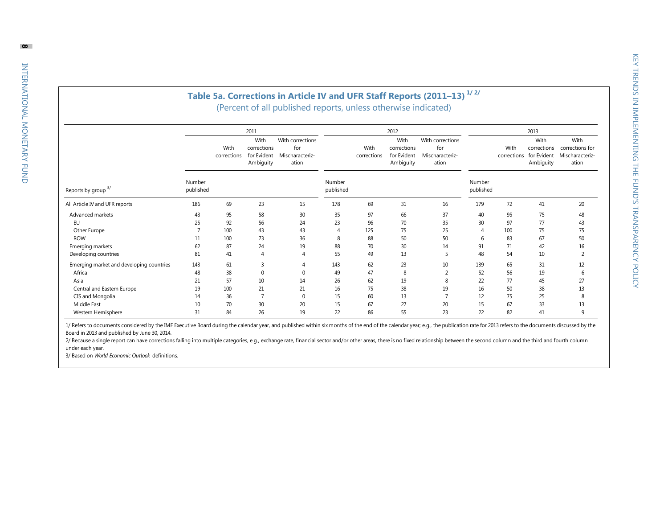### **Table 5 a. Corrections in Article IV and UFR Staff Reports (201 1 –13 ) 1/ 2/** (Percent of all published reports, unless otherwise indicated)

|                                          |                     |                     |                                          | (Percent of all published reports, unless otherwise indicated)  |                     |                     |                                                         | Table 5a. Corrections in Article IV and UFR Staff Reports (2011-13) <sup>1/2/</sup> |                     |                     |                                          |                                                                 |
|------------------------------------------|---------------------|---------------------|------------------------------------------|-----------------------------------------------------------------|---------------------|---------------------|---------------------------------------------------------|-------------------------------------------------------------------------------------|---------------------|---------------------|------------------------------------------|-----------------------------------------------------------------|
|                                          |                     | With<br>corrections | 2011<br>With<br>corrections<br>Ambiguity | With corrections<br>for<br>for Evident Mischaracteriz-<br>ation |                     | With<br>corrections | 2012<br>With<br>corrections<br>for Evident<br>Ambiguity | With corrections<br>for<br>Mischaracteriz-<br>ation                                 |                     | With<br>corrections | 2013<br>With<br>for Evident<br>Ambiguity | With<br>corrections corrections for<br>Mischaracteriz-<br>ation |
| Reports by group <sup>3/</sup>           | Number<br>published |                     |                                          |                                                                 | Number<br>published |                     |                                                         |                                                                                     | Number<br>published |                     |                                          |                                                                 |
| All Article IV and UFR reports           | 186                 | 69                  | 23                                       | 15                                                              | 178                 | 69                  | 31                                                      | 16                                                                                  | 179                 | 72                  | 41                                       | 20                                                              |
| Advanced markets                         | 43                  | 95                  | 58                                       | 30                                                              | 35                  | 97                  | 66                                                      | 37                                                                                  | 40                  | 95                  | 75                                       | 48                                                              |
| <b>EU</b>                                | 25                  | 92                  | 56                                       | 24                                                              | 23                  | 96                  | 70                                                      | 35                                                                                  | 30                  | 97                  | 77                                       | 43                                                              |
| Other Europe                             |                     | 100                 | 43                                       | 43                                                              | $\Delta$            | 125                 | 75                                                      | 25                                                                                  | $\Delta$            | 100                 | 75                                       | 75                                                              |
| <b>ROW</b>                               | 11                  | 100                 | 73                                       | 36                                                              | 8                   | 88                  | 50                                                      | 50                                                                                  | 6                   | 83                  | 67                                       | 50                                                              |
| Emerging markets                         | 62                  | 87                  | 24                                       | 19                                                              | 88                  | 70                  | 30                                                      | 14                                                                                  | 91                  | 71                  | 42                                       | 16                                                              |
| Developing countries                     | 81                  | 41                  | $\Delta$                                 |                                                                 | 55                  | 49                  | 13                                                      | 5                                                                                   | 48                  | 54                  | 10                                       | $\overline{2}$                                                  |
| Emerging market and developing countries | 143                 | 61                  | 3                                        |                                                                 | 143                 | 62                  | 23                                                      | 10                                                                                  | 139                 | 65                  | 31                                       | 12                                                              |
| Africa                                   | 48                  | 38                  | $\mathbf{0}$                             | $\Omega$                                                        | 49                  | 47                  | 8                                                       | $\overline{2}$                                                                      | 52                  | 56                  | 19                                       | 6                                                               |
| Asia                                     | 21                  | 57                  | 10                                       | 14                                                              | 26                  | 62                  | 19                                                      | 8                                                                                   | 22                  | 77                  | 45                                       | 27                                                              |
| Central and Eastern Europe               | 19                  | 100                 | 21                                       | 21                                                              | 16                  | 75                  | 38                                                      | 19                                                                                  | 16                  | 50                  | 38                                       | 13                                                              |
| CIS and Mongolia                         | 14                  | 36                  | $\overline{7}$                           | $\mathbf 0$                                                     | 15                  | 60                  | 13                                                      | 7                                                                                   | 12                  | 75                  | 25                                       | 8                                                               |
| Middle East                              | 10                  | 70                  | 30                                       | 20                                                              | 15                  | 67                  | 27                                                      | 20                                                                                  | 15                  | 67                  | 33                                       | 13                                                              |
| Western Hemisphere                       | 31                  | 84                  | 26                                       | 19                                                              | 22                  | 86                  | 55                                                      | 23                                                                                  | 22                  | 82                  | 41                                       | $\mathbf{q}$                                                    |

1/ Refers to documents considered by the IMF Executive Board during the calendar year, and published within six months of the end of the calendar year; e.g., the publication rate for 2013 refers to the documents discussed Board in 2013 and published by June 30, 2014.

2/ Because a single report can have corrections falling into multiple categories, e.g., exchange rate, financial sector and/or other areas, there is no fixed relationship between the second column and the third and fourth under each year.

3/ Based on *World Economic Outlook* definitions.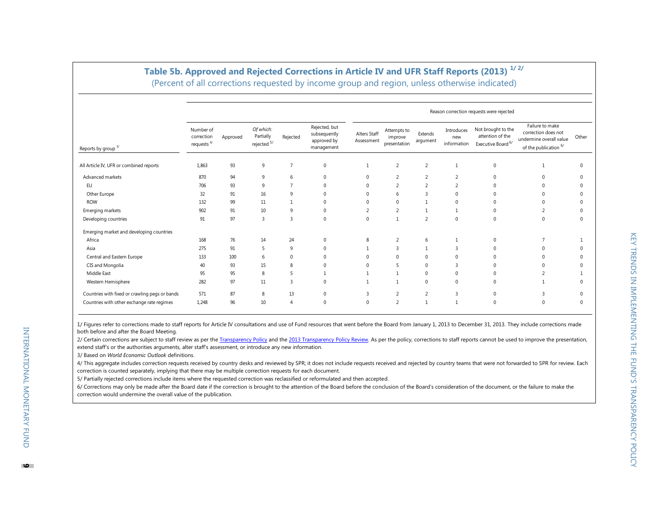|                                                |                                          |          |                                       |                |                                                            |                            |                                        |                     |                                  | Reason correction requests were rejected                       |                                                                                              |              |
|------------------------------------------------|------------------------------------------|----------|---------------------------------------|----------------|------------------------------------------------------------|----------------------------|----------------------------------------|---------------------|----------------------------------|----------------------------------------------------------------|----------------------------------------------------------------------------------------------|--------------|
| Reports by group $3/$                          | Number of<br>correction<br>requests $4/$ | Approved | Of which:<br>Partially<br>rejected 5/ | Rejected       | Rejected, but<br>subsequently<br>approved by<br>management | Alters Staff<br>Assessment | Attempts to<br>improve<br>presentation | Extends<br>argument | Introduces<br>new<br>information | Not brought to the<br>attention of the<br>Executive Board $6/$ | Failure to make<br>correction does not<br>undermine overall value<br>of the publication $6/$ | Other        |
| All Article IV, UFR or combined reports        | 1,863                                    | 93       | 9                                     | $\overline{7}$ | 0                                                          | 1                          | $\overline{2}$                         | $\overline{2}$      | 1                                | $\mathbf{0}$                                                   | $\overline{1}$                                                                               | $\mathbf{0}$ |
| Advanced markets                               | 870                                      | 94       | 9                                     | 6              | 0                                                          | $\mathbf{0}$               | $\overline{2}$                         | 2                   | 2                                | $\Omega$                                                       | $\Omega$                                                                                     | $\Omega$     |
| EU                                             | 706                                      | 93       | 9                                     | $\overline{7}$ | 0                                                          | $\mathbf{0}$               | $\overline{2}$                         | 2                   | 2                                | $\Omega$                                                       | $\Omega$                                                                                     | $\Omega$     |
| Other Europe                                   | 32                                       | 91       | 16                                    | 9              |                                                            | $\mathbf{0}$               | 6                                      | $\overline{3}$      | $\Omega$                         |                                                                |                                                                                              | $\Omega$     |
| <b>ROW</b>                                     | 132                                      | 99       | 11                                    |                | 0                                                          | $\mathbf{0}$               | 0                                      |                     | 0                                |                                                                |                                                                                              | $\Omega$     |
| Emerging markets                               | 902                                      | 91       | 10                                    | 9              | 0                                                          | $\overline{2}$             | $\overline{2}$                         | $\overline{1}$      | 1                                | $\Omega$                                                       | $\overline{2}$                                                                               | $\Omega$     |
| Developing countries                           | 91                                       | 97       | $\overline{3}$                        | $\overline{3}$ | $\Omega$                                                   | $\mathbf{0}$               | $\mathbf{1}$                           | $\overline{2}$      | $\mathbf{0}$                     | $\Omega$                                                       | $\mathbf{0}$                                                                                 | $\mathbf{0}$ |
| Emerging market and developing countries       |                                          |          |                                       |                |                                                            |                            |                                        |                     |                                  |                                                                |                                                                                              |              |
| Africa                                         | 168                                      | 76       | 14                                    | 24             | 0                                                          | 8                          | $\overline{2}$                         | 6                   |                                  | $\Omega$                                                       |                                                                                              |              |
| Asia                                           | 275                                      | 91       | 5                                     | 9              | 0                                                          | 1                          | 3                                      | $\overline{1}$      | 3                                | $\Omega$                                                       | $\Omega$                                                                                     | $\Omega$     |
| Central and Eastern Europe                     | 133                                      | 100      | 6                                     | $\mathbf 0$    |                                                            | $\Omega$                   | 0                                      | $\mathbf 0$         | $\Omega$                         |                                                                | $\Omega$                                                                                     | $\Omega$     |
| CIS and Mongolia                               | 40                                       | 93       | 15                                    | 8              |                                                            | $\Omega$                   | 5                                      | $\mathbf 0$         | 3                                | $\Omega$                                                       | $\Omega$                                                                                     | $\Omega$     |
| Middle East                                    | 95                                       | 95       | 8                                     | .5             |                                                            | $\mathbf{1}$               | 1                                      | $\mathbf 0$         | 0                                | $\Omega$                                                       | $\overline{2}$                                                                               |              |
| Western Hemisphere                             | 282                                      | 97       | 11                                    | $\overline{3}$ | 0                                                          |                            |                                        | $\mathbf 0$         | $\Omega$                         | $\Omega$                                                       |                                                                                              | $\Omega$     |
| Countries with fixed or crawling pegs or bands | 571                                      | 87       | 8                                     | 13             | 0                                                          | 3                          | 2                                      | 2                   | 3                                | $\Omega$                                                       | $\mathbf{R}$                                                                                 | $\Omega$     |
| Countries with other exchange rate regimes     | 1,248                                    | 96       | 10                                    | $\overline{4}$ | 0                                                          | $\mathbf{0}$               | $\overline{2}$                         | $\mathbf{1}$        | $\mathbf{1}$                     | $\Omega$                                                       | $\Omega$                                                                                     | $\Omega$     |

### **Table 5b. Approved and Rejected Corrections in Article IV and UFR Staff Reports (2013) 1/ 2/**

(Percent of all corrections requested by income group and region, unless otherwise indicated)

1/ Figures refer to corrections made to staff reports for Article IV consultations and use of Fund resources that went before the Board from January 1, 2013 to December 31, 2013. They include corrections made both before and after the Board Meeting.

2/ Certain corrections are subject to staff review as per th[e Transparency Policy](http://www.imf.org/external/np/pp/eng/2009/102609.pdf) and th[e 2013 Transparency Policy Review.](http://www.imf.org/external/np/pp/eng/2013/051413.pdf) As per the policy, corrections to staff reports cannot be used to improve the presentation, extend staff's or the authorities arguments, alter staff's assessment, or introduce any new information.

3/ Based on *World Economic Outlook* definitions.

4/ This aggregate includes correction requests received by country desks and reviewed by SPR; it does not include requests received and rejected by country teams that were not forwarded to SPR for review. Each correction is counted separately, implying that there may be multiple correction requests for each document.

5/ Partially rejected corrections include items where the requested correction was reclassified or reformulated and then accepted.

6/ Corrections may only be made after the Board date if the correction is brought to the attention of the Board before the conclusion of the Board's consideration of the document, or the failure to make the correction would undermine the overall value of the publication.

INTERNATIONAL MONETARY FUND

INTERNATIONAL MONETARY FUND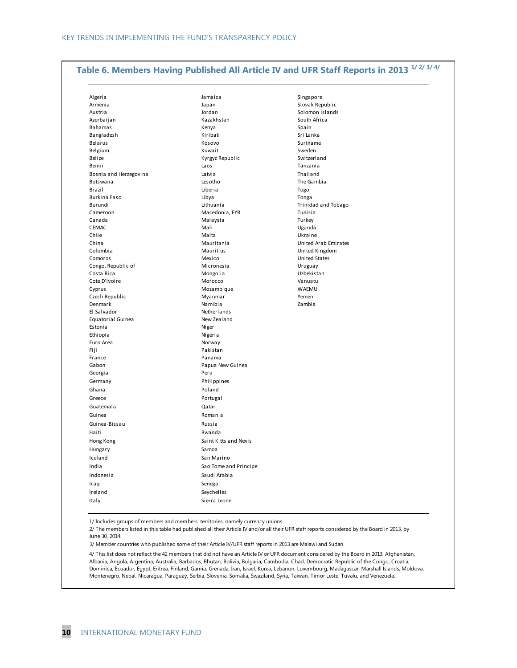# **Table 6. Members Having Published All Article IV and UFR Staff Reports in 2013 1/ 2/ 3/ 4/**

| Algeria<br>Jamaica                        | Singapore                  |
|-------------------------------------------|----------------------------|
| Armenia<br>Japan                          | Slovak Republic            |
| Austria<br>Jordan                         | Solomon Islands            |
| Azerbaijan<br>Kazakhstan                  | South Africa               |
| Bahamas<br>Kenya                          | Spain                      |
| Kiribati<br>Bangladesh                    | Sri Lanka                  |
| Belarus<br>Kosovo                         | Suriname                   |
| Belgium<br>Kuwait                         | Sweden                     |
| Belize<br>Kyrgyz Republic                 | Switzerland                |
| Benin<br>Laos                             | Tanzania                   |
| Bosnia and Herzegovina<br>Latvia          | Thailand                   |
| Lesotho<br>Botswana                       | The Gambia                 |
| Brazil<br>Liberia                         | Togo                       |
| Burkina Faso<br>Libya                     | Tonga                      |
| Lithuania<br>Burundi                      | <b>Trinidad and Tobago</b> |
| Macedonia, FYR<br>Cameroon                | Tunisia                    |
| Canada<br>Malaysia                        | Turkey                     |
| <b>CEMAC</b><br>Mali                      | Uganda                     |
| Chile<br>Malta                            | Ukraine                    |
| China<br>Mauritania                       | United Arab Emirates       |
| Colombia<br>Mauritius                     | United Kingdom             |
| Mexico<br>Comoros                         | <b>United States</b>       |
| Congo, Republic of<br>Micronesia          | Uruguay                    |
| Costa Rica<br>Mongolia                    | Uzbekistan                 |
| Cote D'Ivoire<br>Morocco                  | Vanuatu                    |
| Mozambique<br>Cyprus                      | WAEMU                      |
| Czech Republic<br>Myanmar                 | Yemen                      |
| Denmark<br>Namibia                        | Zambia                     |
| El Salvador<br>Netherlands<br>New Zealand |                            |
| Equatorial Guinea<br>Estonia<br>Niger     |                            |
| Ethiopia<br>Nigeria                       |                            |
| Euro Area<br>Norway                       |                            |
| Fiji<br>Pakistan                          |                            |
| Panama<br>France                          |                            |
| Gabon                                     | Papua New Guinea           |
| Georgia<br>Peru                           |                            |
| Philippines<br>Germany                    |                            |
| Poland<br>Ghana                           |                            |
| Portugal<br>Greece                        |                            |
|                                           |                            |
| Guatemala<br>Qatar                        |                            |
| Guinea<br>Romania                         |                            |
| Guinea-Bissau<br>Russia                   |                            |
| Rwanda<br>Haiti                           |                            |
| Hong Kong                                 | Saint Kitts and Nevis      |
| Samoa<br>Hungary                          |                            |
| Iceland<br>San Marino                     |                            |
| India                                     | Sao Tome and Principe      |
| Indonesia<br>Saudi Arabia                 |                            |
| Iraq<br>Senegal                           |                            |
| Ireland<br>Seychelles                     |                            |
| Italy<br>Sierra Leone                     |                            |
|                                           |                            |
|                                           |                            |

1/ Includes groups of members and members' territories, namely currency unions.

2/ The members listed in this table had published all their Article IV and/or all their UFR staff reports considered by the Board in 2013, by June 30, 2014.

3/ Member countries who published some of their Article IV/UFR staff reports in 2013 are Malawi and Sudan

4/ This list does not reflect the 42 members that did not have an Article IV or UFR document considered by the Board in 2013: Afghanistan, Albania, Angola, Argentina, Australia, Barbados, Bhutan, Bolivia, Bulgaria, Cambodia, Chad, Democratic Republic of the Congo, Croatia, Dominica, Ecuador, Egypt, Eritrea, Finland, Gamia, Grenada, Iran, Israel, Korea, Lebanon, Luxembourg, Madagascar, Marshall Islands, Moldova, Montenegro, Nepal, Nicaragua, Paraguay, Serbia, Slovenia, Somalia, Swaziland, Syria, Taiwan, Timor Leste, Tuvalu, and Venezuela.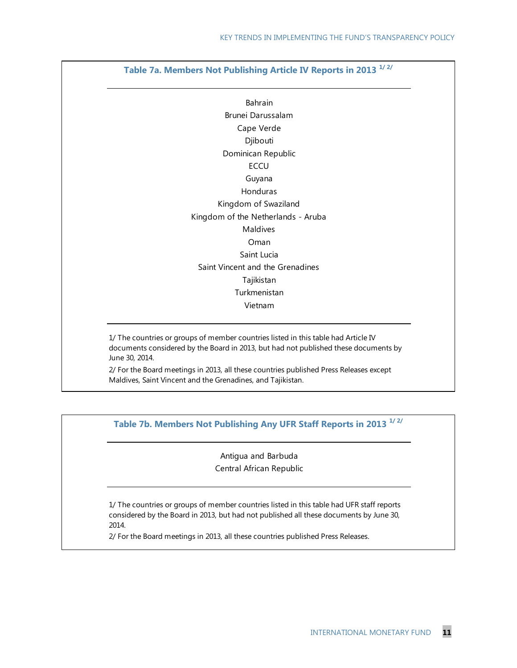# **Table 7a. Members Not Publishing Article IV Reports in 2013 1/ 2/**

Cape Verde Saint Vincent and the Grenadines Saint Lucia Dominican Republic Brunei Darussalam Djibouti **ECCU** Guyana Honduras Kingdom of Swaziland Bahrain Kingdom of the Netherlands - Aruba Maldives Oman Vietnam Turkmenistan Tajikistan

1/ The countries or groups of member countries listed in this table had Article IV documents considered by the Board in 2013, but had not published these documents by June 30, 2014.

2/ For the Board meetings in 2013, all these countries published Press Releases except Maldives, Saint Vincent and the Grenadines, and Tajikistan.

**Table 7b. Members Not Publishing Any UFR Staff Reports in 2013 1/ 2/**

Antigua and Barbuda Central African Republic

1/ The countries or groups of member countries listed in this table had UFR staff reports considered by the Board in 2013, but had not published all these documents by June 30, 2014.

2/ For the Board meetings in 2013, all these countries published Press Releases.